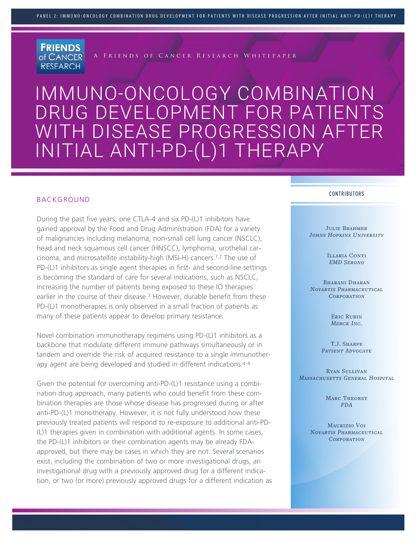

A Friends of Cancer Research Whitepaper

# IMMUNO-ONCOLOGY COMBINATION DRUG DEVELOPMENT FOR PATIENTS WITH DISEASE PROGRESSION AFTER INITIAL ANTI-PD-(L)1 THERAPY

#### BACKGROUND

During the past five years, one CTLA-4 and six PD-(L)1 inhibitors have gained approval by the Food and Drug Administration (FDA) for a variety of malignancies including melanoma, non-small cell lung cancer (NSCLC), head and neck squamous cell cancer (HNSCC), lymphoma, urothelial carcinoma, and microsatellite instability-high (MSI-H) cancers.1,2 The use of PD-(L)1 inhibitors as single agent therapies in first- and second-line settings is becoming the standard of care for several indications, such as NSCLC, increasing the number of patients being exposed to these IO therapies earlier in the course of their disease.3 However, durable benefit from these PD-(L)1 monotherapies is only observed in a small fraction of patients as many of these patients appear to develop primary resistance.

Novel combination immunotherapy regimens using PD-(L)1 inhibitors as a backbone that modulate different immune pathways simultaneously or in tandem and override the risk of acquired resistance to a single immunotherapy agent are being developed and studied in different indications.<sup>4-8</sup>

Given the potential for overcoming anti-PD-(L)1 resistance using a combination drug approach, many patients who could benefit from these combination therapies are those whose disease has progressed during or after anti-PD-(L)1 monotherapy. However, it is not fully understood how these previously treated patients will respond to re-exposure to additional anti-PD- (L)1 therapies given in combination with additional agents. In some cases, the PD-(L)1 inhibitors or their combination agents may be already FDAapproved, but there may be cases in which they are not. Several scenarios exist, including the combination of two or more investigational drugs, an investigational drug with a previously approved drug for a different indication, or two (or more) previously approved drugs for a different indication as

#### CONTRIBUTORS

JULIE BRAHMER *Johns Hopkins University*

> ILLARIA CONTI *EMD Serono*

BHARANI DHARAN *Novartis Pharmaceutical Corporation*

> Eric Rubin *Merck Inc.*

T.J. SHARPE *Patient Advocate*

Ryan Sullivan *Massachusetts General Hospital*

> MARC THEORET *FDA*

Maurizio Voi *Novartis Pharmaceutical Corporation*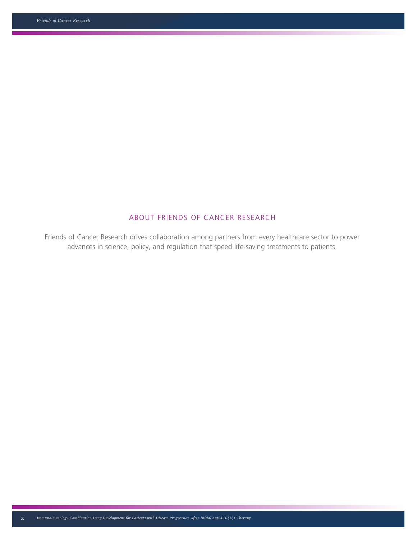## ABOUT FRIENDS OF CANCER RESEARCH

Friends of Cancer Research drives collaboration among partners from every healthcare sector to power advances in science, policy, and regulation that speed life-saving treatments to patients.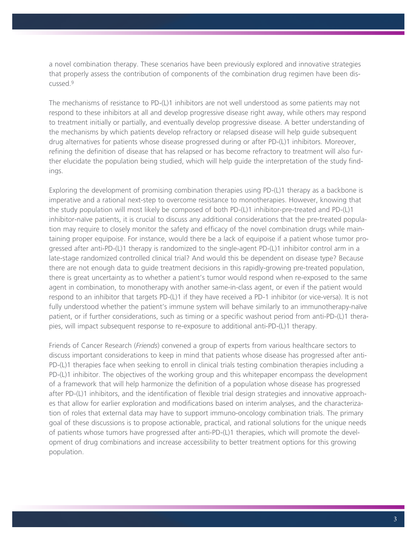a novel combination therapy. These scenarios have been previously explored and innovative strategies that properly assess the contribution of components of the combination drug regimen have been discussed.9

The mechanisms of resistance to PD-(L)1 inhibitors are not well understood as some patients may not respond to these inhibitors at all and develop progressive disease right away, while others may respond to treatment initially or partially, and eventually develop progressive disease. A better understanding of the mechanisms by which patients develop refractory or relapsed disease will help guide subsequent drug alternatives for patients whose disease progressed during or after PD-(L)1 inhibitors. Moreover, refining the definition of disease that has relapsed or has become refractory to treatment will also further elucidate the population being studied, which will help guide the interpretation of the study findings.

Exploring the development of promising combination therapies using PD-(L)1 therapy as a backbone is imperative and a rational next-step to overcome resistance to monotherapies. However, knowing that the study population will most likely be composed of both PD-(L)1 inhibitor-pre-treated and PD-(L)1 inhibitor-naïve patients, it is crucial to discuss any additional considerations that the pre-treated population may require to closely monitor the safety and efficacy of the novel combination drugs while maintaining proper equipoise. For instance, would there be a lack of equipoise if a patient whose tumor progressed after anti-PD-(L)1 therapy is randomized to the single-agent PD-(L)1 inhibitor control arm in a late-stage randomized controlled clinical trial? And would this be dependent on disease type? Because there are not enough data to guide treatment decisions in this rapidly-growing pre-treated population, there is great uncertainty as to whether a patient's tumor would respond when re-exposed to the same agent in combination, to monotherapy with another same-in-class agent, or even if the patient would respond to an inhibitor that targets PD-(L)1 if they have received a PD-1 inhibitor (or vice-versa). It is not fully understood whether the patient's immune system will behave similarly to an immunotherapy-naïve patient, or if further considerations, such as timing or a specific washout period from anti-PD-(L)1 therapies, will impact subsequent response to re-exposure to additional anti-PD-(L)1 therapy.

Friends of Cancer Research (*Friends*) convened a group of experts from various healthcare sectors to discuss important considerations to keep in mind that patients whose disease has progressed after anti-PD-(L)1 therapies face when seeking to enroll in clinical trials testing combination therapies including a PD-(L)1 inhibitor. The objectives of the working group and this whitepaper encompass the development of a framework that will help harmonize the definition of a population whose disease has progressed after PD-(L)1 inhibitors, and the identification of flexible trial design strategies and innovative approaches that allow for earlier exploration and modifications based on interim analyses, and the characterization of roles that external data may have to support immuno-oncology combination trials. The primary goal of these discussions is to propose actionable, practical, and rational solutions for the unique needs of patients whose tumors have progressed after anti-PD-(L)1 therapies, which will promote the development of drug combinations and increase accessibility to better treatment options for this growing population.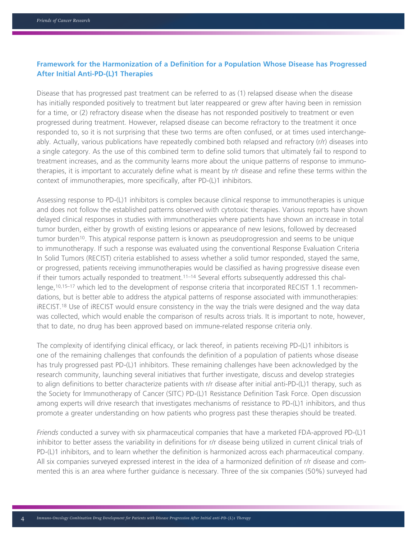### **Framework for the Harmonization of a Definition for a Population Whose Disease has Progressed After Initial Anti-PD-(L)1 Therapies**

Disease that has progressed past treatment can be referred to as (1) relapsed disease when the disease has initially responded positively to treatment but later reappeared or grew after having been in remission for a time, or (2) refractory disease when the disease has not responded positively to treatment or even progressed during treatment. However, relapsed disease can become refractory to the treatment it once responded to, so it is not surprising that these two terms are often confused, or at times used interchangeably. Actually, various publications have repeatedly combined both relapsed and refractory (r/r) diseases into a single category. As the use of this combined term to define solid tumors that ultimately fail to respond to treatment increases, and as the community learns more about the unique patterns of response to immunotherapies, it is important to accurately define what is meant by r/r disease and refine these terms within the context of immunotherapies, more specifically, after PD-(L)1 inhibitors.

Assessing response to PD-(L)1 inhibitors is complex because clinical response to immunotherapies is unique and does not follow the established patterns observed with cytotoxic therapies. Various reports have shown delayed clinical responses in studies with immunotherapies where patients have shown an increase in total tumor burden, either by growth of existing lesions or appearance of new lesions, followed by decreased tumor burden10. This atypical response pattern is known as pseudoprogression and seems to be unique to immunotherapy. If such a response was evaluated using the conventional Response Evaluation Criteria In Solid Tumors (RECIST) criteria established to assess whether a solid tumor responded, stayed the same, or progressed, patients receiving immunotherapies would be classified as having progressive disease even if their tumors actually responded to treatment.11–14 Several efforts subsequently addressed this challenge,10,15–17 which led to the development of response criteria that incorporated RECIST 1.1 recommendations, but is better able to address the atypical patterns of response associated with immunotherapies: iRECIST.18 Use of iRECIST would ensure consistency in the way the trials were designed and the way data was collected, which would enable the comparison of results across trials. It is important to note, however, that to date, no drug has been approved based on immune-related response criteria only.

The complexity of identifying clinical efficacy, or lack thereof, in patients receiving PD-(L)1 inhibitors is one of the remaining challenges that confounds the definition of a population of patients whose disease has truly progressed past PD-(L)1 inhibitors. These remaining challenges have been acknowledged by the research community, launching several initiatives that further investigate, discuss and develop strategies to align definitions to better characterize patients with r/r disease after initial anti-PD-(L)1 therapy, such as the Society for Immunotherapy of Cancer (SITC) PD-(L)1 Resistance Definition Task Force. Open discussion among experts will drive research that investigates mechanisms of resistance to PD-(L)1 inhibitors, and thus promote a greater understanding on how patients who progress past these therapies should be treated.

*Friends* conducted a survey with six pharmaceutical companies that have a marketed FDA-approved PD-(L)1 inhibitor to better assess the variability in definitions for r/r disease being utilized in current clinical trials of PD-(L)1 inhibitors, and to learn whether the definition is harmonized across each pharmaceutical company. All six companies surveyed expressed interest in the idea of a harmonized definition of r/r disease and commented this is an area where further guidance is necessary. Three of the six companies (50%) surveyed had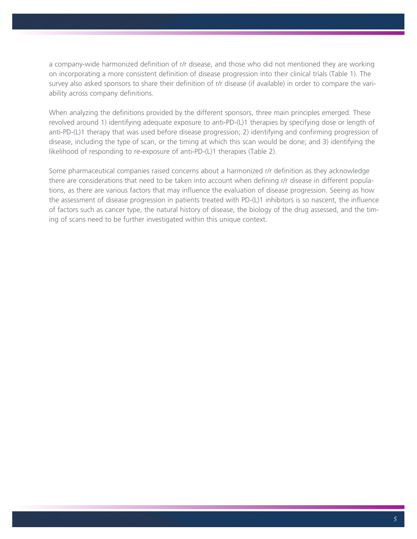a company-wide harmonized definition of r/r disease, and those who did not mentioned they are working on incorporating a more consistent definition of disease progression into their clinical trials (Table 1). The survey also asked sponsors to share their definition of r/r disease (if available) in order to compare the variability across company definitions.

When analyzing the definitions provided by the different sponsors, three main principles emerged. These revolved around 1) identifying adequate exposure to anti-PD-(L)1 therapies by specifying dose or length of anti-PD-(L)1 therapy that was used before disease progression; 2) identifying and confirming progression of disease, including the type of scan, or the timing at which this scan would be done; and 3) identifying the likelihood of responding to re-exposure of anti-PD-(L)1 therapies (Table 2).

Some pharmaceutical companies raised concerns about a harmonized r/r definition as they acknowledge there are considerations that need to be taken into account when defining r/r disease in different populations, as there are various factors that may influence the evaluation of disease progression. Seeing as how the assessment of disease progression in patients treated with PD-(L)1 inhibitors is so nascent, the influence of factors such as cancer type, the natural history of disease, the biology of the drug assessed, and the timing of scans need to be further investigated within this unique context.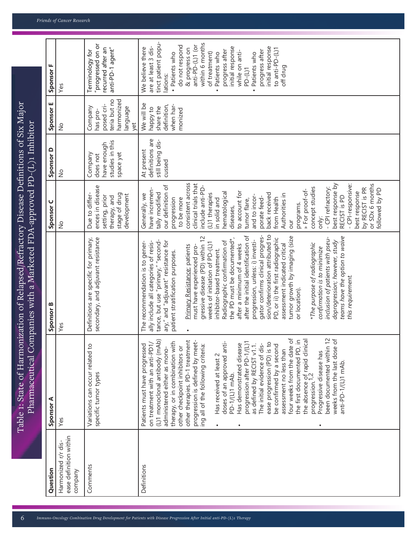| Question                                                 | Sponsor A                                                                                                                                                                                                                                                                                                                                                                                                                                                                                                                                                                                                                                                                                                                                                                                                                                              | Sponsor B                                                                                                                                                                                                                                                                                                                                                                                                                                                                                                                                                                                                                                                                                                                                                                                                                                                                                                                     | Sponsor <sub>C</sub>                                                                                                                                                                                                                                                                                                                                                                                                                                                                                                                                                                | Sponsor D                                                          | Sponsor E                                                                          | Sponsor F                                                                                                                                                                                                                                                                                                                                                                                 |
|----------------------------------------------------------|--------------------------------------------------------------------------------------------------------------------------------------------------------------------------------------------------------------------------------------------------------------------------------------------------------------------------------------------------------------------------------------------------------------------------------------------------------------------------------------------------------------------------------------------------------------------------------------------------------------------------------------------------------------------------------------------------------------------------------------------------------------------------------------------------------------------------------------------------------|-------------------------------------------------------------------------------------------------------------------------------------------------------------------------------------------------------------------------------------------------------------------------------------------------------------------------------------------------------------------------------------------------------------------------------------------------------------------------------------------------------------------------------------------------------------------------------------------------------------------------------------------------------------------------------------------------------------------------------------------------------------------------------------------------------------------------------------------------------------------------------------------------------------------------------|-------------------------------------------------------------------------------------------------------------------------------------------------------------------------------------------------------------------------------------------------------------------------------------------------------------------------------------------------------------------------------------------------------------------------------------------------------------------------------------------------------------------------------------------------------------------------------------|--------------------------------------------------------------------|------------------------------------------------------------------------------------|-------------------------------------------------------------------------------------------------------------------------------------------------------------------------------------------------------------------------------------------------------------------------------------------------------------------------------------------------------------------------------------------|
| ease definition within<br>Harmonized r/r dis-<br>company | Yes                                                                                                                                                                                                                                                                                                                                                                                                                                                                                                                                                                                                                                                                                                                                                                                                                                                    | Yes                                                                                                                                                                                                                                                                                                                                                                                                                                                                                                                                                                                                                                                                                                                                                                                                                                                                                                                           | å                                                                                                                                                                                                                                                                                                                                                                                                                                                                                                                                                                                   | ş                                                                  | $\frac{1}{2}$                                                                      | Yes                                                                                                                                                                                                                                                                                                                                                                                       |
| Comments                                                 | Variations can occur related to<br>specific tumor types                                                                                                                                                                                                                                                                                                                                                                                                                                                                                                                                                                                                                                                                                                                                                                                                | secondary, and adjuvant resistance<br>Definitions are specific for primary,                                                                                                                                                                                                                                                                                                                                                                                                                                                                                                                                                                                                                                                                                                                                                                                                                                                   | ences in disease<br>stage of drug<br>Due to differ-<br>development<br>setting, prior<br>therapy, and                                                                                                                                                                                                                                                                                                                                                                                                                                                                                | studies in this<br>have enough<br>space yet<br>Company<br>does not | teria but no<br>harmonized<br>posed cri-<br>Company<br>language<br>has pro-<br>yet | "progressed on or<br>recurred after an<br>anti-PD-1 agent"<br>Terminology for                                                                                                                                                                                                                                                                                                             |
| Definitions                                              | been documented within 12<br>weeks from the last dose of<br>four weeks from the date of<br>the first documented PD, in<br>(L)1 monoclonal antibody (mAb)<br>the absence of rapid clinical<br>progression. <sup>1,2</sup><br>other therapies. PD-1 treatment<br>progression is defined by meet-<br>Patients must have progressed<br>on treatment with an anti-PD1/<br>therapy, or in combination with<br>ing all of the following criteria:<br>doses of an approved anti-<br>Has demonstrated disease<br>progression after PD-1/(L)<br>as defined by RECIST v1.1.<br>The initial evidence of dis-<br>ease progression (PD) is to<br>be confirmed by a second<br>other checkpoint inhibitors or<br>administered either as mono-<br>assessment no less than<br>Progressive disease has<br>Has received at least 2<br>anti-PD-1/(L)1 mAb.<br>PD-1/(L)1 mAb | sion/deterioration attributed to<br>gator confirms clinical progres-<br>after the initial identification of<br>tumor growth by imaging (size<br>teams have the option to waive<br>gressive disease (PD) within 12<br>PD, or ii) the first radiographic<br>inclusion of patients with pseu-<br>the PD must be documented*,<br>progression, unless: i) investi-<br>tance, but use "primary," "second-<br>Radiographic confirmation of<br>doprogression; however, study<br>ary," and "adjuvant" resistance for<br>ally include all categories of resis-<br>The recommendation is to gener-<br>weeks of initiation of PD-(L)1<br>*The purpose of radiographic<br>assessment indicated critical<br>after a minimum of 4 weeks<br>must have experienced pro-<br>Primary Resistance: patients<br>confirmation is to minimize<br>inhibitor-based treatment.<br>patient stratification purposes.<br>this requirement.<br>or location). | consistent across<br>or SDx 6 months<br>clinical trials that<br>best response by<br>- CPI-responsive:<br>our definition of<br>include anti-PD-<br>concept studies<br>- CPI refractory:<br>by RECIST is PR<br>followed by PD<br>have incremen-<br>» For proof-of-<br>best response<br>to account for<br>hematological<br>tally modified<br>back received<br>(L)1 therapies<br>Generally, we<br>Authorities in<br>and to incor-<br>porate feed-<br>RECIST is PD<br>from Health<br>to be more<br>progression<br>in solid and<br>tumor flare,<br>programs.<br>diseases,<br>only:<br>our | definitions are<br>still being dis-<br>At present<br>cussed        | We will be<br>definition,<br>when har-<br>share the<br>ot <i>Kddey</i><br>monized  | tinct patient popu-<br>within 6 months<br>anti-PD-(L)1 (or<br>do not respond<br>are at least 3 dis-<br>initial response<br>initial response<br>We believe there<br>& progress on<br>to anti-PD-(L)1<br>progress after<br>while on anti-<br>progress after<br>· Patients who<br>of treatment)<br>Patients who<br>Patients who<br>off drug<br>PD-(L)1<br>lations:<br>$\bullet$<br>$\bullet$ |

Table 1: State of Harmonization of Relapsed/Refractory Disease Definitions of Six Major Pharmaceutical Companies with a Marketed FDA-approved PD-(L)1 Inhibitor

Table 1: State of Harmonization of Relapsed/Refractory Disease Definitions of Six Major Pharmaceutical Companies with a Marketed FDA-approved PD-(L)1 Inhibitor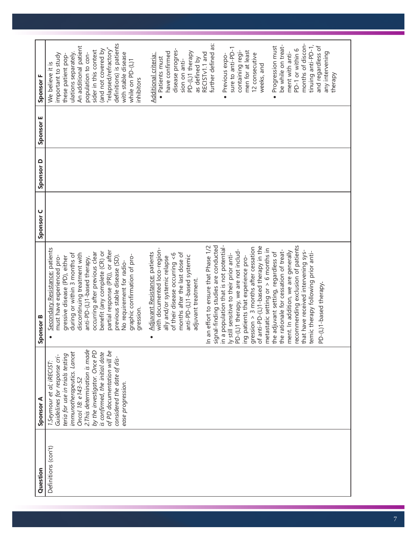| Question            | Sponsor A                       | Sponsor B                               | Sponsor <sub>C</sub> | Sponsor D | Sponsor E | Sponsor F                |
|---------------------|---------------------------------|-----------------------------------------|----------------------|-----------|-----------|--------------------------|
| Definitions (con't) | 1.Seymour et al; iRECIST:       | Secondary Resistance: patients          |                      |           |           | We believe it is         |
|                     | Guidelines for response cri-    | must have experienced pro-              |                      |           |           | important to study       |
|                     | teria for use in trials testing | gressive disease (PD), either           |                      |           |           | these patient pop-       |
|                     | immunotherapeutics. Lancet      | during or within 3 months of            |                      |           |           | ulations separately.     |
|                     | Oncol 18: e143-52               | discontinuing treatment with            |                      |           |           | An additional patient    |
|                     | 2. This determination is made   | anti-PD-(L)1-based therapy,             |                      |           |           | population to con-       |
|                     | by the investigator. Once PD    | occurring after previous clear          |                      |           |           | sider in this context    |
|                     | is confirmed, the initial date  | benefit (any complete (CR) or           |                      |           |           | (and not covered by      |
|                     | of PD documentation will be     | partial response (PR)), or after        |                      |           |           | 'relapsed/refractory     |
|                     | considered the date of dis-     | previous stable disease (SD).           |                      |           |           | definitions) is patients |
|                     | ease progression.               | No requirement for radio-               |                      |           |           | with stable disease      |
|                     |                                 | graphic confirmation of pro-            |                      |           |           | while on PD-(L)1         |
|                     |                                 | gression.                               |                      |           |           | inhibitors               |
|                     |                                 | Adjuvant Resistance: patients           |                      |           |           | Additional criteria:     |
|                     |                                 | with documented loco-region-            |                      |           |           | · Patients must          |
|                     |                                 | ally and/or systemic relapse            |                      |           |           | have confirmed           |
|                     |                                 | of their disease occurring <6           |                      |           |           | disease progres-         |
|                     |                                 | months after the last dose of           |                      |           |           | sion on anti-            |
|                     |                                 | anti-PD-(L)1-based systemic             |                      |           |           | PD-(L)1 therapy          |
|                     |                                 | adjuvant treatment.                     |                      |           |           | as defined by            |
|                     |                                 |                                         |                      |           |           | RECISTv1.1 and           |
|                     |                                 | In an effort to ensure that Phase 1/2   |                      |           |           |                          |
|                     |                                 | signal-finding studies are conducted    |                      |           |           | further defined as:      |
|                     |                                 | in a population that is not potential-  |                      |           |           | · Previous expo-         |
|                     |                                 | ly still sensitive to their prior anti- |                      |           |           |                          |
|                     |                                 | PD-(L)1 therapy, we are not includ-     |                      |           |           | sure to anti-PD-1        |
|                     |                                 |                                         |                      |           |           | containing regi-         |
|                     |                                 | ing patients that experience pro-       |                      |           |           | men for at least         |
|                     |                                 | gression $>$ 3 months after cessation   |                      |           |           | 12 consecutive           |
|                     |                                 | of anti-PD-(L)1-based therapy in the    |                      |           |           | weeks, and               |
|                     |                                 | metastatic setting or $> 6$ months in   |                      |           |           |                          |
|                     |                                 | the adjuvant setting, regardless of     |                      |           |           | · Progression must       |
|                     |                                 | the rationale for cessation of treat-   |                      |           |           | be while on treat-       |
|                     |                                 | ment. In addition, we are generally     |                      |           |           | ment with anti-          |
|                     |                                 | recommending exclusion of patients      |                      |           |           | PD-1 or within 6         |
|                     |                                 | that have received intervening sys-     |                      |           |           | months of discon-        |
|                     |                                 | temic therapy following prior anti-     |                      |           |           | tinuing anti-PD-1,       |
|                     |                                 | PD-(L)1-based therapy.                  |                      |           |           | and regardless of        |
|                     |                                 |                                         |                      |           |           | any intervening          |
|                     |                                 |                                         |                      |           |           | therapy                  |
|                     |                                 |                                         |                      |           |           |                          |
|                     |                                 |                                         |                      |           |           |                          |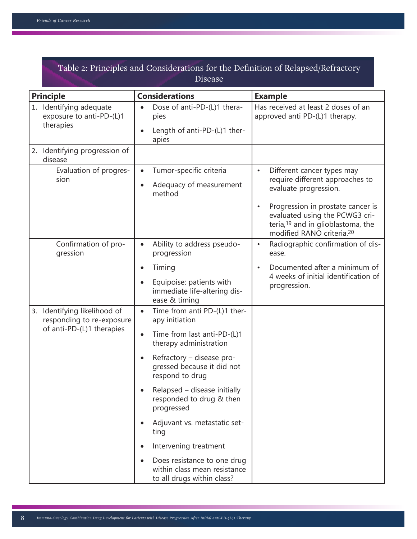|                  |                                                                                        | Table 2: Principles and Considerations for the Definition of Relapsed/Refractory                                                                                                                                                                                                                                                                                                                                          |                                                                                                                                                                                                                                                                                   |
|------------------|----------------------------------------------------------------------------------------|---------------------------------------------------------------------------------------------------------------------------------------------------------------------------------------------------------------------------------------------------------------------------------------------------------------------------------------------------------------------------------------------------------------------------|-----------------------------------------------------------------------------------------------------------------------------------------------------------------------------------------------------------------------------------------------------------------------------------|
| <b>Principle</b> |                                                                                        | <b>Considerations</b>                                                                                                                                                                                                                                                                                                                                                                                                     | <b>Example</b>                                                                                                                                                                                                                                                                    |
|                  | 1. Identifying adequate<br>exposure to anti-PD-(L)1<br>therapies                       | Dose of anti-PD-(L)1 thera-<br>pies<br>Length of anti-PD-(L)1 ther-<br>apies                                                                                                                                                                                                                                                                                                                                              | Has received at least 2 doses of an<br>approved anti PD-(L)1 therapy.                                                                                                                                                                                                             |
|                  | 2. Identifying progression of<br>disease                                               |                                                                                                                                                                                                                                                                                                                                                                                                                           |                                                                                                                                                                                                                                                                                   |
|                  | Evaluation of progres-<br>sion                                                         | Tumor-specific criteria<br>$\bullet$<br>Adequacy of measurement<br>$\bullet$<br>method                                                                                                                                                                                                                                                                                                                                    | Different cancer types may<br>$\bullet$<br>require different approaches to<br>evaluate progression.<br>Progression in prostate cancer is<br>$\bullet$<br>evaluated using the PCWG3 cri-<br>teria, <sup>19</sup> and in glioblastoma, the<br>modified RANO criteria. <sup>20</sup> |
|                  | Confirmation of pro-<br>gression                                                       | Ability to address pseudo-<br>$\bullet$<br>progression<br>Timing<br>$\bullet$<br>Equipoise: patients with<br>immediate life-altering dis-<br>ease & timing                                                                                                                                                                                                                                                                | Radiographic confirmation of dis-<br>$\bullet$<br>ease.<br>Documented after a minimum of<br>$\bullet$<br>4 weeks of initial identification of<br>progression.                                                                                                                     |
|                  | 3. Identifying likelihood of<br>responding to re-exposure<br>of anti-PD-(L)1 therapies | Time from anti PD-(L)1 ther-<br>$\bullet$<br>apy initiation<br>Time from last anti-PD-(L)1<br>$\bullet$<br>therapy administration<br>Refractory - disease pro-<br>gressed because it did not<br>respond to drug<br>Relapsed - disease initially<br>responded to drug & then<br>progressed<br>Adjuvant vs. metastatic set-<br>ting<br>Intervening treatment<br>Does resistance to one drug<br>within class mean resistance |                                                                                                                                                                                                                                                                                   |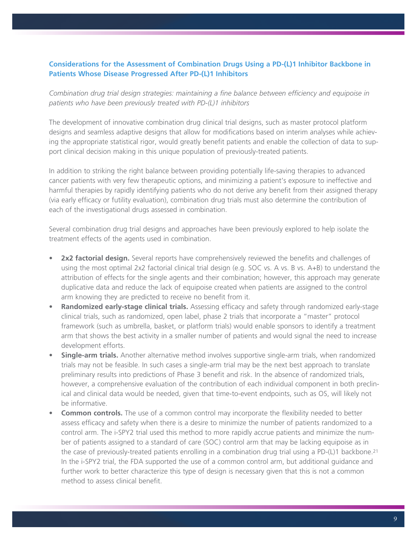## **Considerations for the Assessment of Combination Drugs Using a PD-(L)1 Inhibitor Backbone in Patients Whose Disease Progressed After PD-(L)1 Inhibitors**

*Combination drug trial design strategies: maintaining a fine balance between efficiency and equipoise in patients who have been previously treated with PD-(L)1 inhibitors*

The development of innovative combination drug clinical trial designs, such as master protocol platform designs and seamless adaptive designs that allow for modifications based on interim analyses while achieving the appropriate statistical rigor, would greatly benefit patients and enable the collection of data to support clinical decision making in this unique population of previously-treated patients.

In addition to striking the right balance between providing potentially life-saving therapies to advanced cancer patients with very few therapeutic options, and minimizing a patient's exposure to ineffective and harmful therapies by rapidly identifying patients who do not derive any benefit from their assigned therapy (via early efficacy or futility evaluation), combination drug trials must also determine the contribution of each of the investigational drugs assessed in combination.

Several combination drug trial designs and approaches have been previously explored to help isolate the treatment effects of the agents used in combination.

- **•• 2x2 factorial design.** Several reports have comprehensively reviewed the benefits and challenges of using the most optimal 2x2 factorial clinical trial design (e.g. SOC vs. A vs. B vs. A+B) to understand the attribution of effects for the single agents and their combination; however, this approach may generate duplicative data and reduce the lack of equipoise created when patients are assigned to the control arm knowing they are predicted to receive no benefit from it.
- **• Randomized early-stage clinical trials.** Assessing efficacy and safety through randomized early-stage clinical trials, such as randomized, open label, phase 2 trials that incorporate a "master" protocol framework (such as umbrella, basket, or platform trials) would enable sponsors to identify a treatment arm that shows the best activity in a smaller number of patients and would signal the need to increase development efforts.
- **• Single-arm trials.** Another alternative method involves supportive single-arm trials, when randomized trials may not be feasible. In such cases a single-arm trial may be the next best approach to translate preliminary results into predictions of Phase 3 benefit and risk. In the absence of randomized trials, however, a comprehensive evaluation of the contribution of each individual component in both preclinical and clinical data would be needed, given that time-to-event endpoints, such as OS, will likely not be informative.
- **• Common controls.** The use of a common control may incorporate the flexibility needed to better assess efficacy and safety when there is a desire to minimize the number of patients randomized to a control arm. The i-SPY2 trial used this method to more rapidly accrue patients and minimize the number of patients assigned to a standard of care (SOC) control arm that may be lacking equipoise as in the case of previously-treated patients enrolling in a combination drug trial using a PD-(L)1 backbone.21 In the i-SPY2 trial, the FDA supported the use of a common control arm, but additional guidance and further work to better characterize this type of design is necessary given that this is not a common method to assess clinical benefit.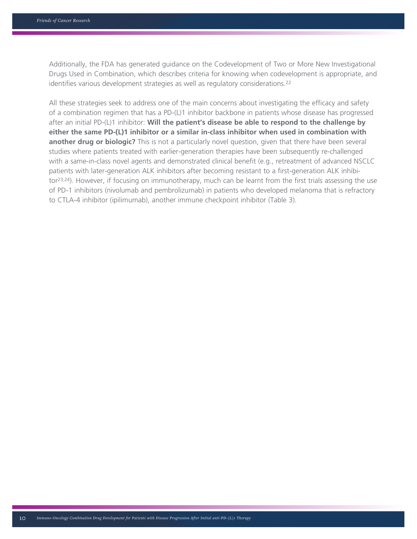Additionally, the FDA has generated guidance on the Codevelopment of Two or More New Investigational Drugs Used in Combination, which describes criteria for knowing when codevelopment is appropriate, and identifies various development strategies as well as regulatory considerations.22

All these strategies seek to address one of the main concerns about investigating the efficacy and safety of a combination regimen that has a PD-(L)1 inhibitor backbone in patients whose disease has progressed after an initial PD-(L)1 inhibitor: **Will the patient's disease be able to respond to the challenge by either the same PD-(L)1 inhibitor or a similar in-class inhibitor when used in combination with another drug or biologic?** This is not a particularly novel question, given that there have been several studies where patients treated with earlier-generation therapies have been subsequently re-challenged with a same-in-class novel agents and demonstrated clinical benefit (e.g., retreatment of advanced NSCLC patients with later-generation ALK inhibitors after becoming resistant to a first-generation ALK inhibitor23,24). However, if focusing on immunotherapy, much can be learnt from the first trials assessing the use of PD-1 inhibitors (nivolumab and pembrolizumab) in patients who developed melanoma that is refractory to CTLA-4 inhibitor (ipilimumab), another immune checkpoint inhibitor (Table 3).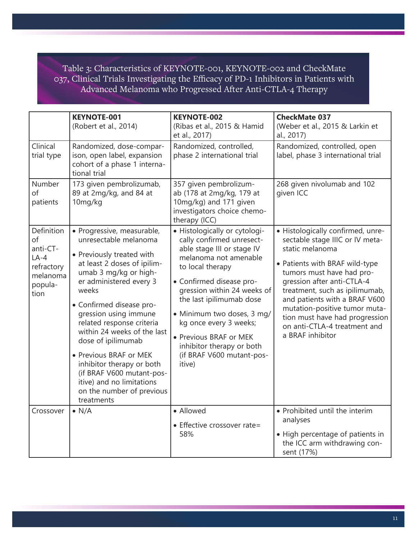Table 3: Characteristics of KEYNOTE-001, KEYNOTE-002 and CheckMate 037, Clinical Trials Investigating the Efficacy of PD-1 Inhibitors in Patients with Advanced Melanoma who Progressed After Anti-CTLA-4 Therapy

|                                                                                     | <b>KEYNOTE-001</b><br>(Robert et al., 2014)                                                                                                                                                                                                                                                                                                                                                                                                                                     | <b>KEYNOTE-002</b><br>(Ribas et al., 2015 & Hamid<br>et al., 2017)                                                                                                                                                                                                                                                                                                                 | <b>CheckMate 037</b><br>(Weber et al., 2015 & Larkin et<br>al., 2017)                                                                                                                                                                                                                                                                                                          |
|-------------------------------------------------------------------------------------|---------------------------------------------------------------------------------------------------------------------------------------------------------------------------------------------------------------------------------------------------------------------------------------------------------------------------------------------------------------------------------------------------------------------------------------------------------------------------------|------------------------------------------------------------------------------------------------------------------------------------------------------------------------------------------------------------------------------------------------------------------------------------------------------------------------------------------------------------------------------------|--------------------------------------------------------------------------------------------------------------------------------------------------------------------------------------------------------------------------------------------------------------------------------------------------------------------------------------------------------------------------------|
| Clinical<br>trial type                                                              | Randomized, dose-compar-<br>ison, open label, expansion<br>cohort of a phase 1 interna-<br>tional trial                                                                                                                                                                                                                                                                                                                                                                         | Randomized, controlled,<br>phase 2 international trial                                                                                                                                                                                                                                                                                                                             | Randomized, controlled, open<br>label, phase 3 international trial                                                                                                                                                                                                                                                                                                             |
| Number<br>of<br>patients                                                            | 173 given pembrolizumab,<br>89 at 2mg/kg, and 84 at<br>10mg/kg                                                                                                                                                                                                                                                                                                                                                                                                                  | 357 given pembrolizum-<br>ab (178 at 2mg/kg, 179 at<br>10mg/kg) and 171 given<br>investigators choice chemo-<br>therapy (ICC)                                                                                                                                                                                                                                                      | 268 given nivolumab and 102<br>given ICC                                                                                                                                                                                                                                                                                                                                       |
| Definition<br>of<br>anti-CT-<br>$LA-4$<br>refractory<br>melanoma<br>popula-<br>tion | · Progressive, measurable,<br>unresectable melanoma<br>• Previously treated with<br>at least 2 doses of ipilim-<br>umab 3 mg/kg or high-<br>er administered every 3<br>weeks<br>· Confirmed disease pro-<br>gression using immune<br>related response criteria<br>within 24 weeks of the last<br>dose of ipilimumab<br>• Previous BRAF or MEK<br>inhibitor therapy or both<br>(if BRAF V600 mutant-pos-<br>itive) and no limitations<br>on the number of previous<br>treatments | • Histologically or cytologi-<br>cally confirmed unresect-<br>able stage III or stage IV<br>melanoma not amenable<br>to local therapy<br>• Confirmed disease pro-<br>gression within 24 weeks of<br>the last ipilimumab dose<br>· Minimum two doses, 3 mg/<br>kg once every 3 weeks;<br>• Previous BRAF or MEK<br>inhibitor therapy or both<br>(if BRAF V600 mutant-pos-<br>itive) | · Histologically confirmed, unre-<br>sectable stage IIIC or IV meta-<br>static melanoma<br>• Patients with BRAF wild-type<br>tumors must have had pro-<br>gression after anti-CTLA-4<br>treatment, such as ipilimumab,<br>and patients with a BRAF V600<br>mutation-positive tumor muta-<br>tion must have had progression<br>on anti-CTLA-4 treatment and<br>a BRAF inhibitor |
| Crossover                                                                           | $\bullet$ N/A                                                                                                                                                                                                                                                                                                                                                                                                                                                                   | • Allowed<br>• Effective crossover rate=<br>58%                                                                                                                                                                                                                                                                                                                                    | • Prohibited until the interim<br>analyses<br>• High percentage of patients in<br>the ICC arm withdrawing con-<br>sent (17%)                                                                                                                                                                                                                                                   |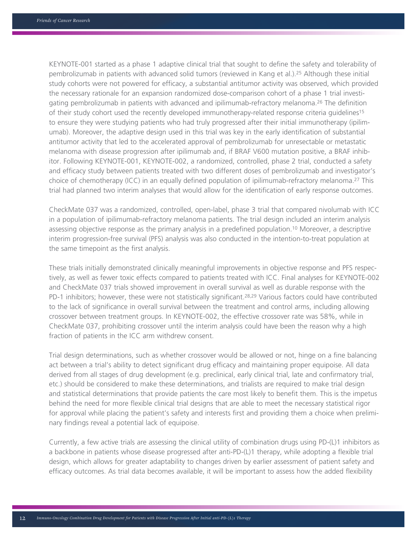KEYNOTE-001 started as a phase 1 adaptive clinical trial that sought to define the safety and tolerability of pembrolizumab in patients with advanced solid tumors (reviewed in Kang et al.).25 Although these initial study cohorts were not powered for efficacy, a substantial antitumor activity was observed, which provided the necessary rationale for an expansion randomized dose-comparison cohort of a phase 1 trial investigating pembrolizumab in patients with advanced and ipilimumab-refractory melanoma.26 The definition of their study cohort used the recently developed immunotherapy-related response criteria guidelines15 to ensure they were studying patients who had truly progressed after their initial immunotherapy (ipilimumab). Moreover, the adaptive design used in this trial was key in the early identification of substantial antitumor activity that led to the accelerated approval of pembrolizumab for unresectable or metastatic melanoma with disease progression after ipilimumab and, if BRAF V600 mutation positive, a BRAF inhibitor. Following KEYNOTE-001, KEYNOTE-002, a randomized, controlled, phase 2 trial, conducted a safety and efficacy study between patients treated with two different doses of pembrolizumab and investigator's choice of chemotherapy (ICC) in an equally defined population of ipilimumab-refractory melanoma.27 This trial had planned two interim analyses that would allow for the identification of early response outcomes.

CheckMate 037 was a randomized, controlled, open-label, phase 3 trial that compared nivolumab with ICC in a population of ipilimumab-refractory melanoma patients. The trial design included an interim analysis assessing objective response as the primary analysis in a predefined population.10 Moreover, a descriptive interim progression-free survival (PFS) analysis was also conducted in the intention-to-treat population at the same timepoint as the first analysis.

These trials initially demonstrated clinically meaningful improvements in objective response and PFS respectively, as well as fewer toxic effects compared to patients treated with ICC. Final analyses for KEYNOTE-002 and CheckMate 037 trials showed improvement in overall survival as well as durable response with the PD-1 inhibitors; however, these were not statistically significant.28,29 Various factors could have contributed to the lack of significance in overall survival between the treatment and control arms, including allowing crossover between treatment groups. In KEYNOTE-002, the effective crossover rate was 58%, while in CheckMate 037, prohibiting crossover until the interim analysis could have been the reason why a high fraction of patients in the ICC arm withdrew consent.

Trial design determinations, such as whether crossover would be allowed or not, hinge on a fine balancing act between a trial's ability to detect significant drug efficacy and maintaining proper equipoise. All data derived from all stages of drug development (e.g. preclinical, early clinical trial, late and confirmatory trial, etc.) should be considered to make these determinations, and trialists are required to make trial design and statistical determinations that provide patients the care most likely to benefit them. This is the impetus behind the need for more flexible clinical trial designs that are able to meet the necessary statistical rigor for approval while placing the patient's safety and interests first and providing them a choice when preliminary findings reveal a potential lack of equipoise.

Currently, a few active trials are assessing the clinical utility of combination drugs using PD-(L)1 inhibitors as a backbone in patients whose disease progressed after anti-PD-(L)1 therapy, while adopting a flexible trial design, which allows for greater adaptability to changes driven by earlier assessment of patient safety and efficacy outcomes. As trial data becomes available, it will be important to assess how the added flexibility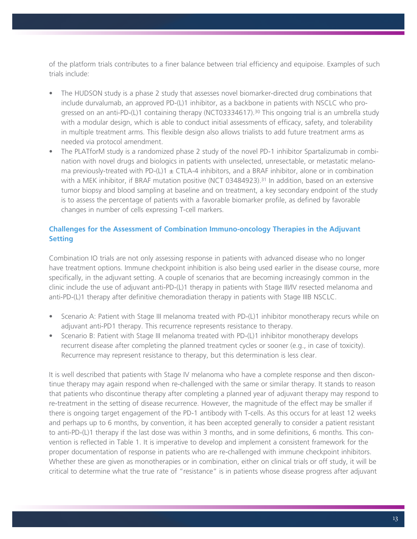of the platform trials contributes to a finer balance between trial efficiency and equipoise. Examples of such trials include:

- The HUDSON study is a phase 2 study that assesses novel biomarker-directed drug combinations that include durvalumab, an approved PD-(L)1 inhibitor, as a backbone in patients with NSCLC who progressed on an anti-PD-(L)1 containing therapy (NCT03334617).30 This ongoing trial is an umbrella study with a modular design, which is able to conduct initial assessments of efficacy, safety, and tolerability in multiple treatment arms. This flexible design also allows trialists to add future treatment arms as needed via protocol amendment.
- The PLATforM study is a randomized phase 2 study of the novel PD-1 inhibitor Spartalizumab in combination with novel drugs and biologics in patients with unselected, unresectable, or metastatic melanoma previously-treated with PD-(L)1  $\pm$  CTLA-4 inhibitors, and a BRAF inhibitor, alone or in combination with a MEK inhibitor, if BRAF mutation positive (NCT 03484923).<sup>31</sup> In addition, based on an extensive tumor biopsy and blood sampling at baseline and on treatment, a key secondary endpoint of the study is to assess the percentage of patients with a favorable biomarker profile, as defined by favorable changes in number of cells expressing T-cell markers.

## **Challenges for the Assessment of Combination Immuno-oncology Therapies in the Adjuvant Setting**

Combination IO trials are not only assessing response in patients with advanced disease who no longer have treatment options. Immune checkpoint inhibition is also being used earlier in the disease course, more specifically, in the adjuvant setting. A couple of scenarios that are becoming increasingly common in the clinic include the use of adjuvant anti-PD-(L)1 therapy in patients with Stage III/IV resected melanoma and anti-PD-(L)1 therapy after definitive chemoradiation therapy in patients with Stage IIIB NSCLC.

- Scenario A: Patient with Stage III melanoma treated with PD-(L)1 inhibitor monotherapy recurs while on adjuvant anti-PD1 therapy. This recurrence represents resistance to therapy.
- Scenario B: Patient with Stage III melanoma treated with PD-(L)1 inhibitor monotherapy develops recurrent disease after completing the planned treatment cycles or sooner (e.g., in case of toxicity). Recurrence may represent resistance to therapy, but this determination is less clear.

It is well described that patients with Stage IV melanoma who have a complete response and then discontinue therapy may again respond when re-challenged with the same or similar therapy. It stands to reason that patients who discontinue therapy after completing a planned year of adjuvant therapy may respond to re-treatment in the setting of disease recurrence. However, the magnitude of the effect may be smaller if there is ongoing target engagement of the PD-1 antibody with T-cells. As this occurs for at least 12 weeks and perhaps up to 6 months, by convention, it has been accepted generally to consider a patient resistant to anti-PD-(L)1 therapy if the last dose was within 3 months, and in some definitions, 6 months. This convention is reflected in Table 1. It is imperative to develop and implement a consistent framework for the proper documentation of response in patients who are re-challenged with immune checkpoint inhibitors. Whether these are given as monotherapies or in combination, either on clinical trials or off study, it will be critical to determine what the true rate of "resistance" is in patients whose disease progress after adjuvant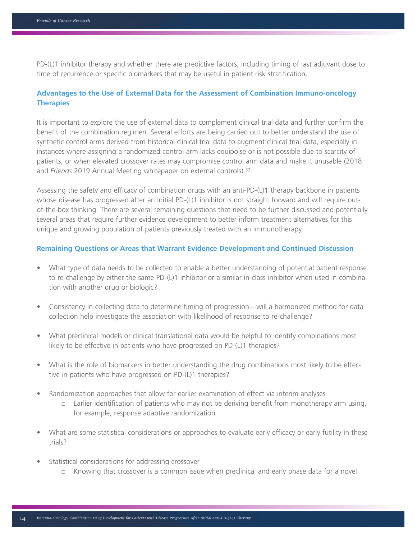PD-(L)1 inhibitor therapy and whether there are predictive factors, including timing of last adjuvant dose to time of recurrence or specific biomarkers that may be useful in patient risk stratification.

### **Advantages to the Use of External Data for the Assessment of Combination Immuno-oncology Therapies**

It is important to explore the use of external data to complement clinical trial data and further confirm the benefit of the combination regimen. Several efforts are being carried out to better understand the use of synthetic control arms derived from historical clinical trial data to augment clinical trial data, especially in instances where assigning a randomized control arm lacks equipoise or is not possible due to scarcity of patients, or when elevated crossover rates may compromise control arm data and make it unusable (2018 and *Friends* 2019 Annual Meeting whitepaper on external controls).32

Assessing the safety and efficacy of combination drugs with an anti-PD-(L)1 therapy backbone in patients whose disease has progressed after an initial PD-(L)1 inhibitor is not straight forward and will require outof-the-box thinking. There are several remaining questions that need to be further discussed and potentially several areas that require further evidence development to better inform treatment alternatives for this unique and growing population of patients previously treated with an immunotherapy.

#### **Remaining Questions or Areas that Warrant Evidence Development and Continued Discussion**

- What type of data needs to be collected to enable a better understanding of potential patient response to re-challenge by either the same PD-(L)1 inhibitor or a similar in-class inhibitor when used in combination with another drug or biologic?
- Consistency in collecting data to determine timing of progression—will a harmonized method for data collection help investigate the association with likelihood of response to re-challenge?
- What preclinical models or clinical translational data would be helpful to identify combinations most likely to be effective in patients who have progressed on PD-(L)1 therapies?
- What is the role of biomarkers in better understanding the drug combinations most likely to be effective in patients who have progressed on PD-(L)1 therapies?
- Randomization approaches that allow for earlier examination of effect via interim analyses
	- $\Box$  Earlier identification of patients who may not be deriving benefit from monotherapy arm using, for example, response adaptive randomization
- What are some statistical considerations or approaches to evaluate early efficacy or early futility in these trials?
- Statistical considerations for addressing crossover
	- □ Knowing that crossover is a common issue when preclinical and early phase data for a novel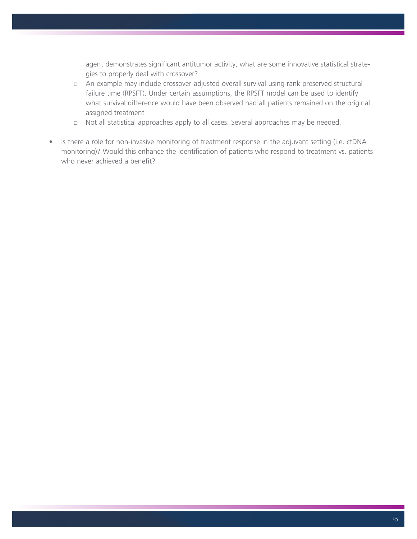agent demonstrates significant antitumor activity, what are some innovative statistical strategies to properly deal with crossover?

- □ An example may include crossover-adjusted overall survival using rank preserved structural failure time (RPSFT). Under certain assumptions, the RPSFT model can be used to identify what survival difference would have been observed had all patients remained on the original assigned treatment
- □ Not all statistical approaches apply to all cases. Several approaches may be needed.
- Is there a role for non-invasive monitoring of treatment response in the adjuvant setting (i.e. ctDNA monitoring)? Would this enhance the identification of patients who respond to treatment vs. patients who never achieved a benefit?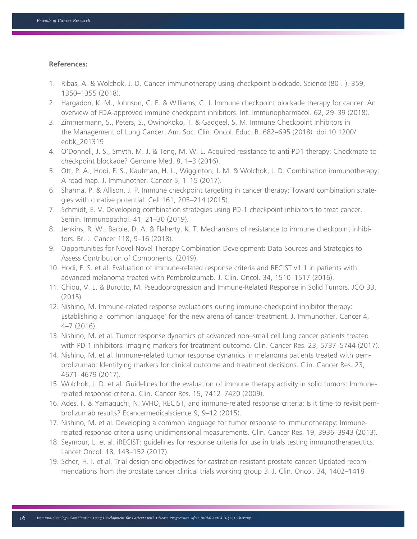#### **References:**

- 1. Ribas, A. & Wolchok, J. D. Cancer immunotherapy using checkpoint blockade. Science (80-. ). 359, 1350–1355 (2018).
- 2. Hargadon, K. M., Johnson, C. E. & Williams, C. J. Immune checkpoint blockade therapy for cancer: An overview of FDA-approved immune checkpoint inhibitors. Int. Immunopharmacol. 62, 29–39 (2018).
- 3. Zimmermann, S., Peters, S., Owinokoko, T. & Gadgeel, S. M. Immune Checkpoint Inhibitors in the Management of Lung Cancer. Am. Soc. Clin. Oncol. Educ. B. 682–695 (2018). doi:10.1200/ edbk\_201319
- 4. O'Donnell, J. S., Smyth, M. J. & Teng, M. W. L. Acquired resistance to anti-PD1 therapy: Checkmate to checkpoint blockade? Genome Med. 8, 1–3 (2016).
- 5. Ott, P. A., Hodi, F. S., Kaufman, H. L., Wigginton, J. M. & Wolchok, J. D. Combination immunotherapy: A road map. J. Immunother. Cancer 5, 1–15 (2017).
- 6. Sharma, P. & Allison, J. P. Immune checkpoint targeting in cancer therapy: Toward combination strategies with curative potential. Cell 161, 205–214 (2015).
- 7. Schmidt, E. V. Developing combination strategies using PD-1 checkpoint inhibitors to treat cancer. Semin. Immunopathol. 41, 21–30 (2019).
- 8. Jenkins, R. W., Barbie, D. A. & Flaherty, K. T. Mechanisms of resistance to immune checkpoint inhibitors. Br. J. Cancer 118, 9–16 (2018).
- 9. Opportunities for Novel-Novel Therapy Combination Development: Data Sources and Strategies to Assess Contribution of Components. (2019).
- 10. Hodi, F. S. et al. Evaluation of immune-related response criteria and RECIST v1.1 in patients with advanced melanoma treated with Pembrolizumab. J. Clin. Oncol. 34, 1510–1517 (2016).
- 11. Chiou, V. L. & Burotto, M. Pseudoprogression and Immune-Related Response in Solid Tumors. JCO 33, (2015).
- 12. Nishino, M. Immune-related response evaluations during immune-checkpoint inhibitor therapy: Establishing a 'common language' for the new arena of cancer treatment. J. Immunother. Cancer 4, 4–7 (2016).
- 13. Nishino, M. et al. Tumor response dynamics of advanced non–small cell lung cancer patients treated with PD-1 inhibitors: Imaging markers for treatment outcome. Clin. Cancer Res. 23, 5737–5744 (2017).
- 14. Nishino, M. et al. Immune-related tumor response dynamics in melanoma patients treated with pembrolizumab: Identifying markers for clinical outcome and treatment decisions. Clin. Cancer Res. 23, 4671–4679 (2017).
- 15. Wolchok, J. D. et al. Guidelines for the evaluation of immune therapy activity in solid tumors: Immunerelated response criteria. Clin. Cancer Res. 15, 7412–7420 (2009).
- 16. Ades, F. & Yamaguchi, N. WHO, RECIST, and immune-related response criteria: Is it time to revisit pembrolizumab results? Ecancermedicalscience 9, 9–12 (2015).
- 17. Nishino, M. et al. Developing a common language for tumor response to immunotherapy: Immunerelated response criteria using unidimensional measurements. Clin. Cancer Res. 19, 3936–3943 (2013).
- 18. Seymour, L. et al. iRECIST: guidelines for response criteria for use in trials testing immunotherapeutics. Lancet Oncol. 18, 143–152 (2017).
- 19. Scher, H. I. et al. Trial design and objectives for castration-resistant prostate cancer: Updated recommendations from the prostate cancer clinical trials working group 3. J. Clin. Oncol. 34, 1402–1418